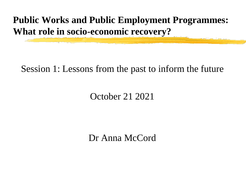**Public Works and Public Employment Programmes: What role in socio-economic recovery?**

#### Session 1: Lessons from the past to inform the future

#### October 21 2021

Dr Anna McCord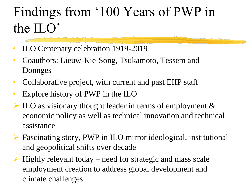# Findings from '100 Years of PWP in the ILO'

- ILO Centenary celebration 1919-2019
- Coauthors: Lieuw-Kie-Song, Tsukamoto, Tessem and Donnges
- Collaborative project, with current and past EIIP staff
- Explore history of PWP in the ILO
- ➢ ILO as visionary thought leader in terms of employment & economic policy as well as technical innovation and technical assistance
- ➢ Fascinating story, PWP in ILO mirror ideological, institutional and geopolitical shifts over decade
- $\triangleright$  Highly relevant today need for strategic and mass scale employment creation to address global development and climate challenges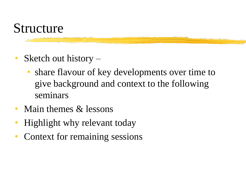#### Structure

- Sketch out history
	- share flavour of key developments over time to give background and context to the following seminars
- Main themes & lessons
- Highlight why relevant today
- Context for remaining sessions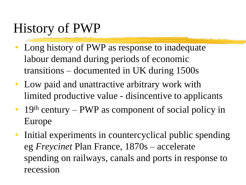## History of PWP

- Long history of PWP as response to inadequate labour demand during periods of economic transitions – documented in UK during 1500s
- Low paid and unattractive arbitrary work with limited productive value - disincentive to applicants
- 19<sup>th</sup> century PWP as component of social policy in Europe
- Initial experiments in countercyclical public spending eg *Freycinet* Plan France, 1870s – accelerate spending on railways, canals and ports in response to recession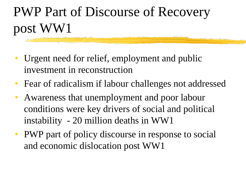# PWP Part of Discourse of Recovery post WW1

- Urgent need for relief, employment and public investment in reconstruction
- Fear of radicalism if labour challenges not addressed
- Awareness that unemployment and poor labour conditions were key drivers of social and political instability - 20 million deaths in WW1
- PWP part of policy discourse in response to social and economic dislocation post WW1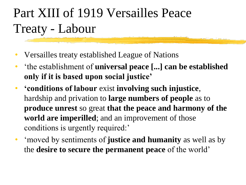## Part XIII of 1919 Versailles Peace Treaty - Labour

- Versailles treaty established League of Nations
- 'the establishment of **universal peace [...] can be established only if it is based upon social justice'**
- **'conditions of labour** exist **involving such injustice**, hardship and privation to **large numbers of people** as to **produce unrest** so great **that the peace and harmony of the world are imperilled**; and an improvement of those conditions is urgently required:'
- 'moved by sentiments of **justice and humanity** as well as by the **desire to secure the permanent peace** of the world'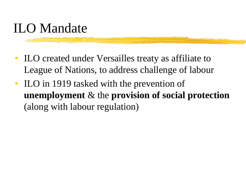### ILO Mandate

- ILO created under Versailles treaty as affiliate to League of Nations, to address challenge of labour
- ILO in 1919 tasked with the prevention of **unemployment** & the **provision of social protection**  (along with labour regulation)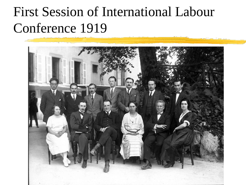## First Session of International Labour Conference 1919

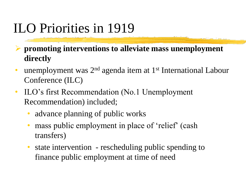## ILO Priorities in 1919

➢ **promoting interventions to alleviate mass unemployment directly**

- unemployment was 2<sup>nd</sup> agenda item at 1<sup>st</sup> International Labour Conference (ILC)
- ILO's first Recommendation (No.1 Unemployment Recommendation) included;
	- advance planning of public works
	- mass public employment in place of 'relief' (cash transfers)
	- state intervention rescheduling public spending to finance public employment at time of need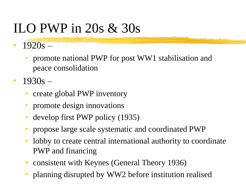## ILO PWP in 20s & 30s

- $1920s -$ 
	- promote national PWP for post WW1 stabilisation and peace consolidation
- $1930s -$ 
	- create global PWP inventory
	- promote design innovations
	- develop first PWP policy (1935)
	- propose large scale systematic and coordinated PWP
	- lobby to create central international authority to coordinate PWP and financing
	- consistent with Keynes (General Theory 1936)
	- planning disrupted by WW2 before institution realised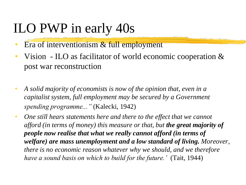### ILO PWP in early 40s

- Era of interventionism & full employment
- Vision ILO as facilitator of world economic cooperation & post war reconstruction
- *A solid majority of economists is now of the opinion that, even in a capitalist system, full employment may be secured by a Government spending programme..."* (Kalecki, 1942)
- One still hears statements here and there to the effect that we cannot *afford (in terms of money) this measure or that, but the great majority of people now realise that what we really cannot afford (in terms of welfare) are mass unemployment and a low standard of living. Moreover, there is no economic reason whatever why we should, and we therefore have a sound basis on which to build for the future.'* (Tait, 1944)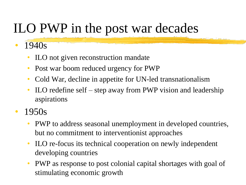## ILO PWP in the post war decades

- 1940s
	- ILO not given reconstruction mandate
	- Post war boom reduced urgency for PWP
	- Cold War, decline in appetite for UN-led transnationalism
	- ILO redefine self step away from PWP vision and leadership aspirations
- 1950s
	- PWP to address seasonal unemployment in developed countries, but no commitment to interventionist approaches
	- ILO re-focus its technical cooperation on newly independent developing countries
	- PWP as response to post colonial capital shortages with goal of stimulating economic growth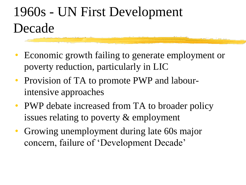# 1960s - UN First Development Decade

- Economic growth failing to generate employment or poverty reduction, particularly in LIC
- Provision of TA to promote PWP and labourintensive approaches
- PWP debate increased from TA to broader policy issues relating to poverty & employment
- Growing unemployment during late 60s major concern, failure of 'Development Decade'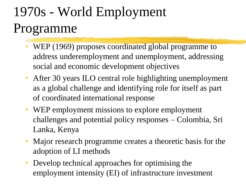# 1970s - World Employment Programme

- WEP (1969) proposes coordinated global programme to address underemployment and unemployment, addressing social and economic development objectives
- After 30 years ILO central role highlighting unemployment as a global challenge and identifying role for itself as part of coordinated international response
- WEP employment missions to explore employment challenges and potential policy responses – Colombia, Sri Lanka, Kenya
- Major research programme creates a theoretic basis for the adoption of LI methods
- Develop technical approaches for optimising the employment intensity (EI) of infrastructure investment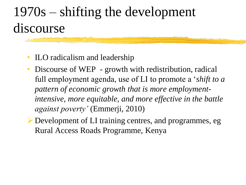## 1970s – shifting the development discourse

- **ILO** radicalism and leadership
- Discourse of WEP growth with redistribution, radical full employment agenda, use of LI to promote a '*shift to a pattern of economic growth that is more employmentintensive, more equitable, and more effective in the battle against poverty'* (Emmerji, 2010)
- ➢Development of LI training centres, and programmes, eg Rural Access Roads Programme, Kenya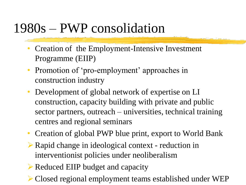#### 1980s – PWP consolidation

- Creation of the Employment-Intensive Investment Programme (EIIP)
- Promotion of 'pro-employment' approaches in construction industry
- Development of global network of expertise on LI construction, capacity building with private and public sector partners, outreach – universities, technical training centres and regional seminars
- Creation of global PWP blue print, export to World Bank
- ➢Rapid change in ideological context reduction in interventionist policies under neoliberalism
- ➢Reduced EIIP budget and capacity
- ➢Closed regional employment teams established under WEP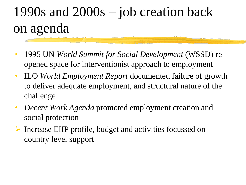# 1990s and 2000s – job creation back on agenda

- 1995 UN *World Summit for Social Development* (WSSD) reopened space for interventionist approach to employment
- ILO *World Employment Report* documented failure of growth to deliver adequate employment, and structural nature of the challenge
- *Decent Work Agenda* promoted employment creation and social protection
- ➢ Increase EIIP profile, budget and activities focussed on country level support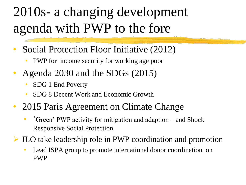# 2010s- a changing development agenda with PWP to the fore

- Social Protection Floor Initiative (2012)
	- PWP for income security for working age poor
- Agenda 2030 and the SDGs (2015)
	- SDG 1 End Poverty
	- SDG 8 Decent Work and Economic Growth
- 2015 Paris Agreement on Climate Change
	- 'Green' PWP activity for mitigation and adaption and Shock Responsive Social Protection
- ➢ ILO take leadership role in PWP coordination and promotion
	- Lead ISPA group to promote international donor coordination on PWP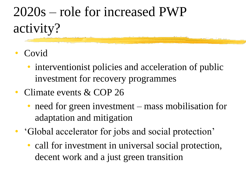# 2020s – role for increased PWP activity?

- Covid
	- interventionist policies and acceleration of public investment for recovery programmes
- Climate events & COP 26
	- need for green investment mass mobilisation for adaptation and mitigation
- 'Global accelerator for jobs and social protection'
	- call for investment in universal social protection, decent work and a just green transition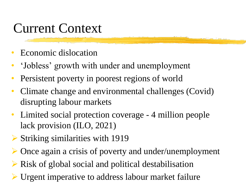#### Current Context

- Economic dislocation
- 'Jobless' growth with under and unemployment
- Persistent poverty in poorest regions of world
- Climate change and environmental challenges (Covid) disrupting labour markets
- Limited social protection coverage 4 million people lack provision (ILO, 2021)
- ➢ Striking similarities with 1919
- ➢ Once again a crisis of poverty and under/unemployment
- ➢ Risk of global social and political destabilisation
- Urgent imperative to address labour market failure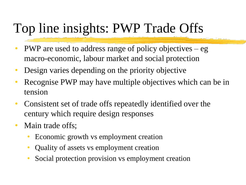## Top line insights: PWP Trade Offs

- PWP are used to address range of policy objectives eg macro-economic, labour market and social protection
- Design varies depending on the priority objective
- Recognise PWP may have multiple objectives which can be in tension
- Consistent set of trade offs repeatedly identified over the century which require design responses
- Main trade offs;
	- Economic growth vs employment creation
	- Quality of assets vs employment creation
	- Social protection provision vs employment creation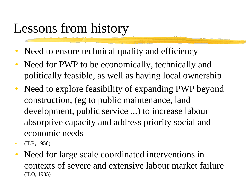### Lessons from history

- Need to ensure technical quality and efficiency
- Need for PWP to be economically, technically and politically feasible, as well as having local ownership
- Need to explore feasibility of expanding PWP beyond construction, (eg to public maintenance, land development, public service ...) to increase labour absorptive capacity and address priority social and economic needs
- (ILR, 1956)
- Need for large scale coordinated interventions in contexts of severe and extensive labour market failure (ILO, 1935)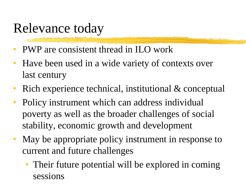## Relevance today

- PWP are consistent thread in ILO work
- Have been used in a wide variety of contexts over last century
- Rich experience technical, institutional & conceptual
- Policy instrument which can address individual poverty as well as the broader challenges of social stability, economic growth and development
- May be appropriate policy instrument in response to current and future challenges
	- Their future potential will be explored in coming sessions